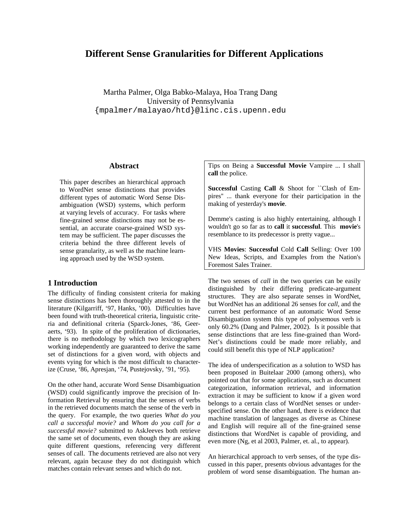# **Different Sense Granularities for Different Applications**

Martha Palmer, Olga Babko-Malaya, Hoa Trang Dang University of Pennsylvania {mpalmer/malayao/htd}@linc.cis.upenn.edu

#### **Abstract**

This paper describes an hierarchical approach to WordNet sense distinctions that provides different types of automatic Word Sense Disambiguation (WSD) systems, which perform at varying levels of accuracy. For tasks where fine-grained sense distinctions may not be essential, an accurate coarse-grained WSD system may be sufficient. The paper discusses the criteria behind the three different levels of sense granularity, as well as the machine learning approach used by the WSD system.

# **1 Introduction**

The difficulty of finding consistent criteria for making sense distinctions has been thoroughly attested to in the literature (Kilgarriff, '97, Hanks, '00). Difficulties have been found with truth-theoretical criteria, linguistic criteria and definitional criteria (Sparck-Jones, '86, Geeraerts, '93). In spite of the proliferation of dictionaries, there is no methodology by which two lexicographers working independently are guaranteed to derive the same set of distinctions for a given word, with objects and events vying for which is the most difficult to characterize (Cruse, '86, Apresjan, '74, Pustejovsky, '91, '95).

On the other hand, accurate Word Sense Disambiguation (WSD) could significantly improve the precision of Information Retrieval by ensuring that the senses of verbs in the retrieved documents match the sense of the verb in the query. For example, the two queries *What do you call a successful movie?* and *Whom do you call for a successful movie?* submitted to AskJeeves both retrieve the same set of documents, even though they are asking quite different questions, referencing very different senses of call. The documents retrieved are also not very relevant, again because they do not distinguish which matches contain relevant senses and which do not.

Tips on Being a **Successful Movie** Vampire ... I shall **call** the police.

**Successful** Casting **Call** & Shoot for ``Clash of Empires'' ... thank everyone for their participation in the making of yesterday's **movie**.

Demme's casting is also highly entertaining, although I wouldn't go so far as to **call** it **successful**. This **movie**'s resemblance to its predecessor is pretty vague...

VHS **Movies**: **Successful** Cold **Call** Selling: Over 100 New Ideas, Scripts, and Examples from the Nation's Foremost Sales Trainer.

The two senses of *call* in the two queries can be easily distinguished by their differing predicate-argument structures. They are also separate senses in WordNet, but WordNet has an additional 26 senses for *call*, and the current best performance of an automatic Word Sense Disambiguation system this type of polysemous verb is only 60.2% (Dang and Palmer, 2002). Is it possible that sense distinctions that are less fine-grained than Word-Net's distinctions could be made more reliably, and could still benefit this type of NLP application?

The idea of underspecification as a solution to WSD has been proposed in Buitelaar 2000 (among others), who pointed out that for some applications, such as document categorization, information retrieval, and information extraction it may be sufficient to know if a given word belongs to a certain class of WordNet senses or underspecified sense. On the other hand, there is evidence that machine translation of languages as diverse as Chinese and English will require all of the fine-grained sense distinctions that WordNet is capable of providing, and even more (Ng, et al 2003, Palmer, et. al., to appear).

An hierarchical approach to verb senses, of the type discussed in this paper, presents obvious advantages for the problem of word sense disambiguation. The human an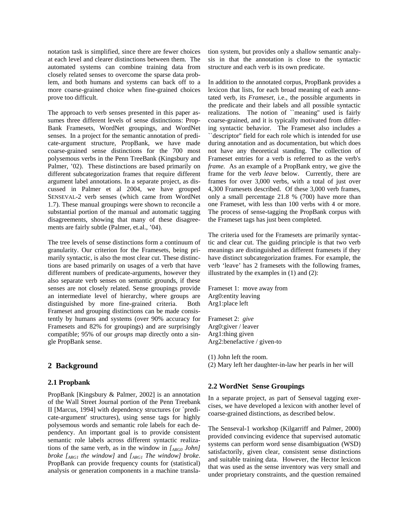notation task is simplified, since there are fewer choices at each level and clearer distinctions between them. The automated systems can combine training data from closely related senses to overcome the sparse data problem, and both humans and systems can back off to a more coarse-grained choice when fine-grained choices prove too difficult.

The approach to verb senses presented in this paper assumes three different levels of sense distinctions: Prop-Bank Framesets, WordNet groupings, and WordNet senses. In a project for the semantic annotation of predicate-argument structure, PropBank, we have made coarse-grained sense distinctions for the 700 most polysemous verbs in the Penn TreeBank (Kingsbury and Palmer, '02). These distinctions are based primarily on different subcategorization frames that require different argument label annotations. In a separate project, as discussed in Palmer et al 2004, we have grouped SENSEVAL-2 verb senses (which came from WordNet 1.7). These manual groupings were shown to reconcile a substantial portion of the manual and automatic tagging disagreements, showing that many of these disagreements are fairly subtle (Palmer, et.al., '04).

The tree levels of sense distinctions form a continuum of granularity. Our criterion for the Framesets, being primarily syntactic, is also the most clear cut. These distinctions are based primarily on usages of a verb that have different numbers of predicate-arguments, however they also separate verb senses on semantic grounds, if these senses are not closely related. Sense groupings provide an intermediate level of hierarchy, where groups are distinguished by more fine-grained criteria. Both Frameset and grouping distinctions can be made consistently by humans and systems (over 90% accuracy for Framesets and 82% for groupings) and are surprisingly compatible; 95% of our *groups* map directly onto a single PropBank sense.

## **2 Background**

#### **2.1 Propbank**

PropBank [Kingsbury & Palmer, 2002] is an annotation of the Wall Street Journal portion of the Penn Treebank II [Marcus, 1994] with dependency structures (or `predicate-argument' structures), using sense tags for highly polysemous words and semantic role labels for each dependency. An important goal is to provide consistent semantic role labels across different syntactic realizations of the same verb, as in the window in *[ARG0 John] broke [ARG1 the window]* and *[ARG1 The window] broke*. PropBank can provide frequency counts for (statistical) analysis or generation components in a machine translation system, but provides only a shallow semantic analysis in that the annotation is close to the syntactic structure and each verb is its own predicate.

In addition to the annotated corpus, PropBank provides a lexicon that lists, for each broad meaning of each annotated verb, its *Frameset*, i.e., the possible arguments in the predicate and their labels and all possible syntactic realizations. The notion of ``meaning'' used is fairly coarse-grained, and it is typically motivated from differing syntactic behavior. The Frameset also includes a ``descriptor'' field for each role which is intended for use during annotation and as documentation, but which does not have any theoretical standing. The collection of Frameset entries for a verb is referred to as the verb's *frame.* As an example of a PropBank entry, we give the frame for the verb *leave* below. Currently, there are frames for over 3,000 verbs, with a total of just over 4,300 Framesets described. Of these 3,000 verb frames, only a small percentage 21.8 % (700) have more than one Frameset, with less than 100 verbs with 4 or more. The process of sense-tagging the PropBank corpus with the Frameset tags has just been completed.

The criteria used for the Framesets are primarily syntactic and clear cut. The guiding principle is that two verb meanings are distinguished as different framesets if they have distinct subcategorization frames. For example, the verb 'leave' has 2 framesets with the following frames, illustrated by the examples in (1) and (2):

Frameset 1: move away from Arg0:entity leaving Arg1:place left

Frameset 2: *give* Arg0:giver / leaver Arg1:thing given Arg2:benefactive / given-to

(1) John left the room.

(2) Mary left her daughter-in-law her pearls in her will

## **2.2 WordNet Sense Groupings**

In a separate project, as part of Senseval tagging exercises, we have developed a lexicon with another level of coarse-grained distinctions, as described below.

The Senseval-1 workshop (Kilgarriff and Palmer, 2000) provided convincing evidence that supervised automatic systems can perform word sense disambiguation (WSD) satisfactorily, given clear, consistent sense distinctions and suitable training data. However, the Hector lexicon that was used as the sense inventory was very small and under proprietary constraints, and the question remained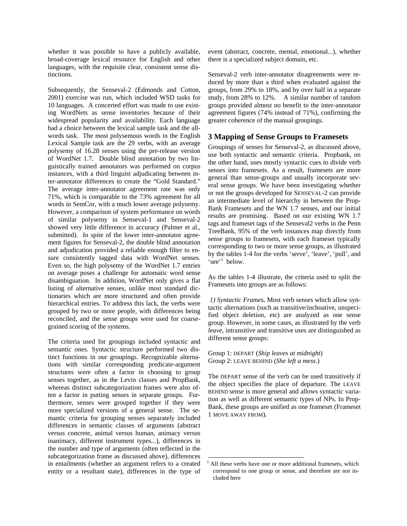whether it was possible to have a publicly available, broad-coverage lexical resource for English and other languages, with the requisite clear, consistent sense distinctions.

Subsequently, the Senseval-2 (Edmonds and Cotton, 2001) exercise was run, which included WSD tasks for 10 languages. A concerted effort was made to use existing WordNets as sense inventories because of their widespread popularity and availability. Each language had a choice between the lexical sample task and the allwords task. The most polysemous words in the English Lexical Sample task are the 29 verbs, with an average polysemy of 16.28 senses using the pre-release version of WordNet 1.7. Double blind annotation by two linguistically trained annotators was performed on corpus instances, with a third linguist adjudicating between inter-annotator differences to create the "Gold Standard." The average inter-annotator agreement rate was only 71%, which is comparable to the 73% agreement for all words in SemCor, with a much lower average polysemy. However, a comparison of system performance on words of similar polysemy in Senseval-1 and Senseval-2 showed very little difference in accuracy (Palmer et al., submitted). In spite of the lower inter-annotator agreement figures for Senseval-2, the double blind annotation and adjudication provided a reliable enough filter to ensure consistently tagged data with WordNet senses. Even so, the high polysemy of the WordNet 1.7 entries on average poses a challenge for automatic word sense disambiguation. In addition, WordNet only gives a flat listing of alternative senses, unlike most standard dictionaries which are more structured and often provide hierarchical entries. To address this lack, the verbs were grouped by two or more people, with differences being reconciled, and the sense groups were used for coarsegrained scoring of the systems.

The criteria used for groupings included syntactic and semantic ones. Syntactic structure performed two distinct functions in our groupings. Recognizable alternations with similar corresponding predicate-argument structures were often a factor in choosing to group senses together, as in the Levin classes and PropBank, whereas distinct subcategorization frames were also often a factor in putting senses in separate groups. Furthermore, senses were grouped together if they were more specialized versions of a general sense. The semantic criteria for grouping senses separately included differences in semantic classes of arguments (abstract versus concrete, animal versus human, animacy versus inanimacy, different instrument types...), differences in the number and type of arguments (often reflected in the subcategorization frame as discussed above), differences in entailments (whether an argument refers to a created entity or a resultant state), differences in the type of event (abstract, concrete, mental, emotional...), whether there is a specialized subject domain, etc.

Senseval-2 verb inter-annotator disagreements were reduced by more than a third when evaluated against the groups, from 29% to 18%, and by over half in a separate study, from 28% to 12%. A similar number of random groups provided almost no benefit to the inter-annotator agreement figures (74% instead of 71%), confirming the greater coherence of the manual groupings.

# **3 Mapping of Sense Groups to Framesets**

Groupings of senses for Senseval-2, as discussed above, use both syntactic and semantic criteria. Propbank, on the other hand, uses mostly syntactic cues to divide verb senses into framesets. As a result, framesets are more general than sense-groups and usually incorporate several sense groups. We have been investigating whether or not the groups developed for SENSEVAL-2 can provide an intermediate level of hierarchy in between the Prop-Bank Framesets and the WN 1.7 senses, and our initial results are promising. Based on our existing WN 1.7 tags and frameset tags of the Senseval2 verbs in the Penn TreeBank, 95% of the verb instances map directly from sense groups to framesets, with each frameset typically corresponding to two or more sense groups, as illustrated by the tables 1-4 for the verbs 'serve', 'leave', 'pull', and 'see'<sup>1</sup> below.

As the tables 1-4 illustrate, the criteria used to split the Framesets into groups are as follows:

*1) Syntactic Frames.* Most verb senses which allow syntactic alternations (such as transitive/inchoative, unspecified object deletion, etc) are analyzed as one sense group. However, in some cases, as illustrated by the verb *leave*, intransitive and transitive uses are distinguished as different sense groups:

Group 1: DEPART (*Ship leaves at midnight*) Group 2: LEAVE BEHIND (*She left a mess*.)

 $\overline{a}$ 

The DEPART sense of the verb can be used transitively if the object specifies the place of departure. The LEAVE BEHIND sense is more general and allows syntactic variation as well as different semantic types of NPs. In Prop-Bank, these groups are unified as one frameset (Frameset 1 MOVE AWAY FROM).

<sup>1</sup> All these verbs have one or more additional framesets, which correspond to one group or sense, and therefore are not included here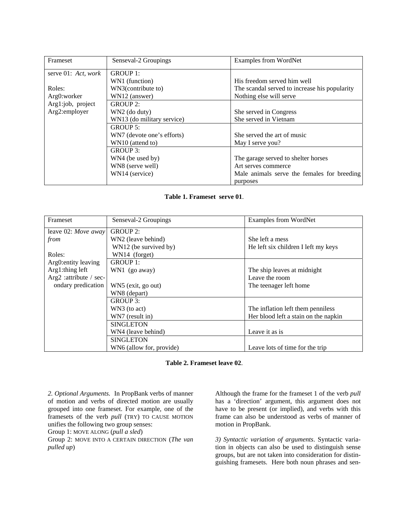| Frameset            | Senseval-2 Groupings       | Examples from WordNet                         |  |
|---------------------|----------------------------|-----------------------------------------------|--|
| serve 01: Act, work | GROUP 1:                   |                                               |  |
|                     | WN1 (function)             | His freedom served him well                   |  |
| Roles:              | WN3(contribute to)         | The scandal served to increase his popularity |  |
| Arg0:worker         | WN12 (answer)              | Nothing else will serve                       |  |
| Arg1:job, project   | $GROUP2$ :                 |                                               |  |
| Arg2:employer       | WN2 (do duty)              | She served in Congress                        |  |
|                     | WN13 (do military service) | She served in Vietnam                         |  |
|                     | GROUP 5:                   |                                               |  |
|                     | WN7 (devote one's efforts) | She served the art of music                   |  |
|                     | WN10 (attend to)           | May I serve you?                              |  |
|                     | GROUP 3:                   |                                               |  |
|                     | WN4 (be used by)           | The garage served to shelter horses           |  |
|                     | WN8 (serve well)           | Art serves commerce                           |  |
|                     | WN14 (service)             | Male animals serve the females for breeding   |  |
|                     |                            | purposes                                      |  |

### **Table 1. Frameset serve 01**.

| <b>Frameset</b>        | Senseval-2 Groupings     | <b>Examples from WordNet</b>         |  |
|------------------------|--------------------------|--------------------------------------|--|
| leave 02: Move away    | <b>GROUP 2:</b>          |                                      |  |
| from                   | WN2 (leave behind)       | She left a mess                      |  |
|                        | WN12 (be survived by)    | He left six children I left my keys  |  |
| Roles:                 | WN14 (forget)            |                                      |  |
| Arg0: entity leaving   | GROUP 1:                 |                                      |  |
| Arg1:thing left        | WN1 (go away)            | The ship leaves at midnight          |  |
| Arg2 :attribute / sec- |                          | Leave the room                       |  |
| ondary predication     | WN5 (exit, go out)       | The teenager left home               |  |
|                        | WN8 (depart)             |                                      |  |
|                        | GROUP 3:                 |                                      |  |
|                        | WN3 (to act)             | The inflation left them penniless    |  |
|                        | WN7 (result in)          | Her blood left a stain on the napkin |  |
|                        | <b>SINGLETON</b>         |                                      |  |
|                        | WN4 (leave behind)       | Leave it as is                       |  |
|                        | <b>SINGLETON</b>         |                                      |  |
|                        | WN6 (allow for, provide) | Leave lots of time for the trip      |  |

#### **Table 2. Frameset leave 02**.

*2. Optional Arguments.*In PropBank verbs of manner of motion and verbs of directed motion are usually grouped into one frameset. For example, one of the framesets of the verb *pull* (TRY) TO CAUSE MOTION unifies the following two group senses:

Group 1: MOVE ALONG (*pull a sled*)

Group 2: MOVE INTO A CERTAIN DIRECTION (*The van pulled up*)

Although the frame for the frameset 1 of the verb *pull* has a 'direction' argument, this argument does not have to be present (or implied), and verbs with this frame can also be understood as verbs of manner of motion in PropBank.

*3) Syntactic variation of arguments*. Syntactic variation in objects can also be used to distinguish sense groups, but are not taken into consideration for distinguishing framesets. Here both noun phrases and sen-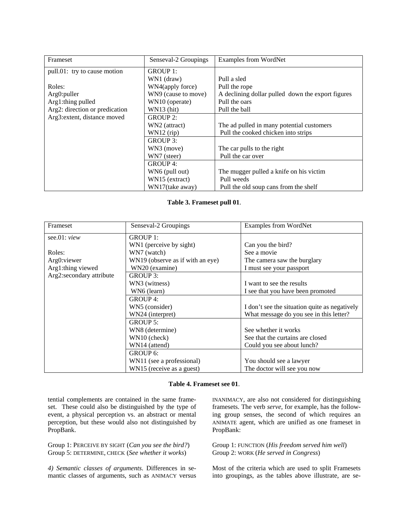| Frameset                       | Senseval-2 Groupings | <b>Examples from WordNet</b>                      |
|--------------------------------|----------------------|---------------------------------------------------|
| pull.01: try to cause motion   | GROUP 1:             |                                                   |
|                                | WN1 (draw)           | Pull a sled                                       |
| Roles:                         | WN4(apply force)     | Pull the rope                                     |
| Arg0: puller                   | WN9 (cause to move)  | A declining dollar pulled down the export figures |
| Arg1:thing pulled              | WN10 (operate)       | Pull the oars                                     |
| Arg2: direction or predication | $WN13$ (hit)         | Pull the ball                                     |
| Arg3: extent, distance moved   | <b>GROUP 2:</b>      |                                                   |
|                                | WN2 (attract)        | The ad pulled in many potential customers         |
|                                | $WN12$ (rip)         | Pull the cooked chicken into strips               |
|                                | GROUP 3:             |                                                   |
|                                | WN3 (move)           | The car pulls to the right                        |
|                                | WN7 (steer)          | Pull the car over                                 |
|                                | GROUP 4:             |                                                   |
|                                | WN6 (pull out)       | The mugger pulled a knife on his victim           |
|                                | WN15 (extract)       | Pull weeds                                        |
|                                | WN17(take away)      | Pull the old soup cans from the shelf             |

#### **Table 3. Frameset pull 01**.

| Frameset                 | Senseval-2 Groupings             | <b>Examples from WordNet</b>                  |  |
|--------------------------|----------------------------------|-----------------------------------------------|--|
| see.01: $view$           | GROUP 1:                         |                                               |  |
|                          | WN1 (perceive by sight)          | Can you the bird?                             |  |
| Roles:                   | WN7 (watch)                      | See a movie                                   |  |
| Arg0: viewer             | WN19 (observe as if with an eye) | The camera saw the burglary                   |  |
| Arg1:thing viewed        | WN20 (examine)                   | I must see your passport                      |  |
| Arg2:secondary attribute | GROUP 3:                         |                                               |  |
|                          | WN3 (witness)                    | I want to see the results                     |  |
|                          | WN6 (learn)                      | I see that you have been promoted             |  |
|                          | GROUP 4:                         |                                               |  |
|                          | WN5 (consider)                   | I don't see the situation quite as negatively |  |
|                          | WN24 (interpret)                 | What message do you see in this letter?       |  |
|                          | GROUP 5:                         |                                               |  |
|                          | WN8 (determine)                  | See whether it works                          |  |
|                          | WN10 (check)                     | See that the curtains are closed              |  |
|                          | WN14 (attend)                    | Could you see about lunch?                    |  |
|                          | GROUP 6:                         |                                               |  |
|                          | WN11 (see a professional)        | You should see a lawyer                       |  |
|                          | WN15 (receive as a guest)        | The doctor will see you now                   |  |

### **Table 4. Frameset see 01**.

tential complements are contained in the same frameset. These could also be distinguished by the type of event, a physical perception vs. an abstract or mental perception, but these would also not distinguished by PropBank.

Group 1: PERCEIVE BY SIGHT (*Can you see the bird?*) Group 5: DETERMINE, CHECK (*See whether it works*)

*4) Semantic classes of arguments*. Differences in semantic classes of arguments, such as ANIMACY versus INANIMACY, are also not considered for distinguishing framesets. The verb *serve*, for example, has the following group senses, the second of which requires an ANIMATE agent, which are unified as one frameset in PropBank:

Group 1: FUNCTION (*His freedom served him well*) Group 2: WORK (*He served in Congress*)

Most of the criteria which are used to split Framesets into groupings, as the tables above illustrate, are se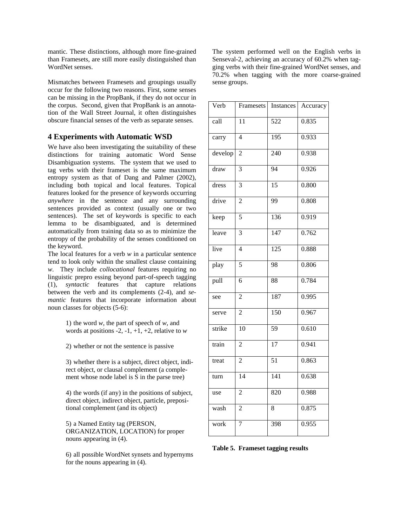mantic. These distinctions, although more fine-grained than Framesets, are still more easily distinguished than WordNet senses.

Mismatches between Framesets and groupings usually occur for the following two reasons. First, some senses can be missing in the PropBank, if they do not occur in the corpus. Second, given that PropBank is an annotation of the Wall Street Journal, it often distinguishes obscure financial senses of the verb as separate senses.

## **4 Experiments with Automatic WSD**

We have also been investigating the suitability of these distinctions for training automatic Word Sense Disambiguation systems. The system that we used to tag verbs with their frameset is the same maximum entropy system as that of Dang and Palmer (2002), including both topical and local features. Topical features looked for the presence of keywords occurring *anywhere* in the sentence and any surrounding sentences provided as context (usually one or two sentences). The set of keywords is specific to each lemma to be disambiguated, and is determined automatically from training data so as to minimize the entropy of the probability of the senses conditioned on the keyword.

The local features for a verb *w* in a particular sentence tend to look only within the smallest clause containing *w*. They include *collocational* features requiring no linguistic prepro essing beyond part-of-speech tagging (1), *syntactic* features that capture relations between the verb and its complements (2-4), and *semantic* features that incorporate information about noun classes for objects (5-6):

> 1) the word *w*, the part of speech of *w*, and words at positions  $-2$ ,  $-1$ ,  $+1$ ,  $+2$ , relative to *w*

2) whether or not the sentence is passive

3) whether there is a subject, direct object, indirect object, or clausal complement (a complement whose node label is S in the parse tree)

4) the words (if any) in the positions of subject, direct object, indirect object, particle, prepositional complement (and its object)

5) a Named Entity tag (PERSON, ORGANIZATION, LOCATION) for proper nouns appearing in (4).

6) all possible WordNet synsets and hypernyms for the nouns appearing in (4).

The system performed well on the English verbs in Senseval-2, achieving an accuracy of 60.2% when tagging verbs with their fine-grained WordNet senses, and 70.2% when tagging with the more coarse-grained sense groups.

| Verb    | Framesets       | <b>Instances</b> | Accuracy |
|---------|-----------------|------------------|----------|
| call    | $\overline{11}$ | $\overline{522}$ | 0.835    |
| carry   | $\overline{4}$  | $\overline{195}$ | 0.933    |
| develop | $\overline{c}$  | 240              | 0.938    |
| draw    | 3               | $\overline{94}$  | 0.926    |
| dress   | 3               | 15               | 0.800    |
| drive   | $\overline{2}$  | 99               | 0.808    |
| keep    | 5               | 136              | 0.919    |
| leave   | $\overline{3}$  | 147              | 0.762    |
| live    | $\overline{4}$  | 125              | 0.888    |
| play    | 5               | 98               | 0.806    |
| pull    | 6               | 88               | 0.784    |
| see     | $\overline{2}$  | 187              | 0.995    |
| serve   | $\overline{c}$  | $\overline{150}$ | 0.967    |
| strike  | 10              | 59               | 0.610    |
| train   | $\overline{2}$  | $\overline{17}$  | 0.941    |
| treat   | $\overline{c}$  | $\overline{51}$  | 0.863    |
| turn    | 14              | 141              | 0.638    |
| use     | $\overline{c}$  | 820              | 0.988    |
| wash    | $\overline{c}$  | 8                | 0.875    |
| work    | 7               | 398              | 0.955    |

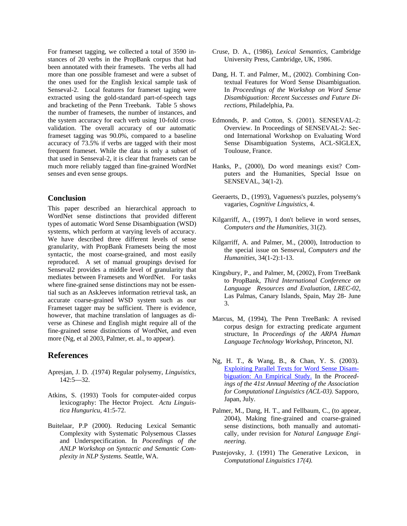For frameset tagging, we collected a total of 3590 instances of 20 verbs in the PropBank corpus that had been annotated with their framesets. The verbs all had more than one possible frameset and were a subset of the ones used for the English lexical sample task of Senseval-2. Local features for frameset taging were extracted using the gold-standard part-of-speech tags and bracketing of the Penn Treebank. Table 5 shows the number of framesets, the number of instances, and the system accuracy for each verb using 10-fold crossvalidation. The overall accuracy of our automatic frameset tagging was 90.0%, compared to a baseline accuracy of 73.5% if verbs are tagged with their most frequent frameset. While the data is only a subset of that used in Senseval-2, it is clear that framesets can be much more reliably tagged than fine-grained WordNet senses and even sense groups.

#### **Conclusion**

This paper described an hierarchical approach to WordNet sense distinctions that provided different types of automatic Word Sense Disambiguation (WSD) systems, which perform at varying levels of accuracy. We have described three different levels of sense granularity, with PropBank Framesets being the most syntactic, the most coarse-grained, and most easily reproduced. A set of manual groupings devised for Senseval2 provides a middle level of granularity that mediates between Framesets and WordNet. For tasks where fine-grained sense distinctions may not be essential such as an AskJeeves information retrieval task, an accurate coarse-grained WSD system such as our Frameset tagger may be sufficient. There is evidence, however, that machine translation of languages as diverse as Chinese and English might require all of the fine-grained sense distinctions of WordNet, and even more (Ng, et al 2003, Palmer, et. al., to appear).

# **References**

- Apresjan, J. D. .(1974) Regular polysemy, *Linguistics*, 142:5—32.
- Atkins, S. (1993) Tools for computer-aided corpus lexicography: The Hector Project. *Actu Linguistica Hunguricu*, 41:5-72.
- Buitelaar, P.P (2000). Reducing Lexical Semantic Complexity with Systematic Polysemous Classes and Underspecification. In *Poceedings of the ANLP Workshop on Syntactic and Semantic Complexity in NLP Systems.* Seattle, WA.
- Cruse, D. A., (1986), *Lexical Semantics,* Cambridge University Press, Cambridge, UK, 1986.
- Dang, H. T. and Palmer, M., (2002). Combining Contextual Features for Word Sense Disambiguation. In *Proceedings of the Workshop on Word Sense Disambiguation: Recent Successes and Future Directions*, Philadelphia, Pa.
- Edmonds, P. and Cotton, S. (2001). SENSEVAL-2: Overview. In Proceedings of SENSEVAL-2: Second International Workshop on Evaluating Word Sense Disambiguation Systems, ACL-SIGLEX, Toulouse, France.
- Hanks, P., (2000), Do word meanings exist? Computers and the Humanities, Special Issue on SENSEVAL, 34(1-2).
- Geeraerts, D., (1993), Vagueness's puzzles, polysemy's vagaries, *Cognitive Linguistics*, 4.
- Kilgarriff, A., (1997), I don't believe in word senses, *Computers and the Humanities*, 31(2).
- Kilgarriff, A. and Palmer, M., (2000), Introduction to the special issue on Senseval, *Computers and the Humanities*, 34(1-2):1-13.
- Kingsbury, P., and Palmer, M, (2002), From TreeBank to PropBank, *Third International Conference on Language Resources and Evaluation, LREC-02*, Las Palmas, Canary Islands, Spain, May 28- June 3.
- Marcus, M, (1994), The Penn TreeBank: A revised corpus design for extracting predicate argument structure, In *Proceedings of the ARPA Human Language Technology Workshop*, Princeton, NJ.
- Ng, H. T., & Wang, B., & Chan, Y. S. (2003). Exploiting Parallel Texts for Word Sense Disambiguation: An Empirical Study. In the *Proceedings of the 41st Annual Meeting of the Association for Computational Linguistics (ACL-03).* Sapporo, Japan, July.
- Palmer, M., Dang, H. T., and Fellbaum, C., (to appear, 2004), Making fine-grained and coarse-grained sense distinctions, both manually and automatically*,* under revision for *Natural Language Engineering*.
- Pustejovsky, J. (1991) The Generative Lexicon, in *Computational Linguistics 17(4).*